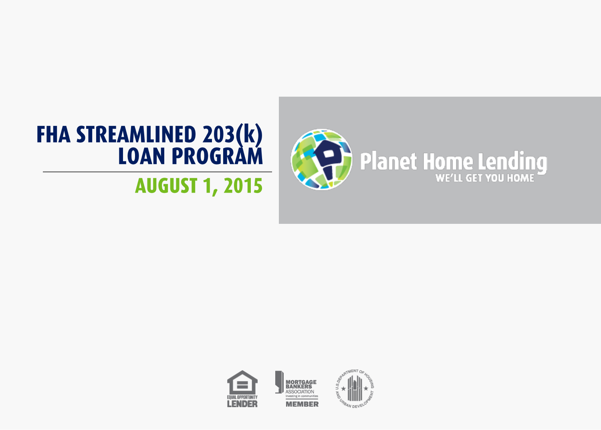

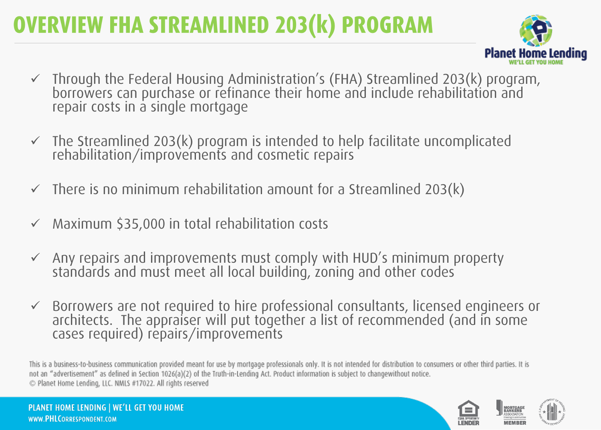#### **OVERVIEW FHA STREAMLINED 203(k) PROGRAM**



- $\checkmark$  Through the Federal Housing Administration's (FHA) Streamlined 203(k) program, borrowers can purchase or refinance their home and include rehabilitation and repair costs in a single mortgage
- $\checkmark$  The Streamlined 203(k) program is intended to help facilitate uncomplicated rehabilitation/improvements and cosmetic repairs
- There is no minimum rehabilitation amount for a Streamlined 203(k)
- Maximum \$35,000 in total rehabilitation costs
- $\checkmark$  Any repairs and improvements must comply with HUD's minimum property standards and must meet all local building, zoning and other codes
- Borrowers are not required to hire professional consultants, licensed engineers or architects. The appraiser will put together a list of recommended (and in some cases required) repairs/improvements

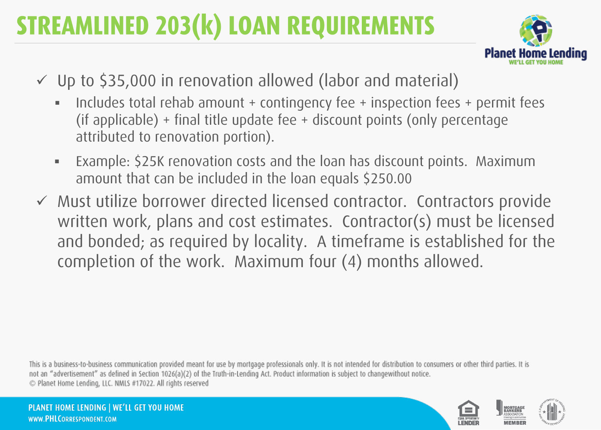# **STREAMLINED 203(k) LOAN REQUIREMENTS**



- Up to \$35,000 in renovation allowed (labor and material)
	- Includes total rehab amount + contingency fee + inspection fees + permit fees (if applicable) + final title update fee + discount points (only percentage attributed to renovation portion).
	- Example: \$25K renovation costs and the loan has discount points. Maximum amount that can be included in the loan equals \$250.00
- written work, plans and cost estimates. Contractor(s) must be licensed Must utilize borrower directed licensed contractor. Contractors provide and bonded; as required by locality. A timeframe is established for the completion of the work. Maximum four (4) months allowed.

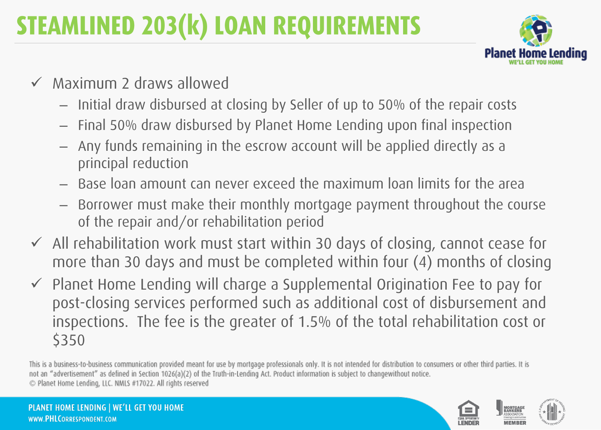# STEAMLINED 203(k) LOAN REQUIREMENTS



- $\checkmark$  Maximum 2 draws allowed
	- Initial draw disbursed at closing by Seller of up to 50% of the repair costs
	- Final 50% draw disbursed by Planet Home Lending upon final inspection
	- Any funds remaining in the escrow account will be applied directly as a principal reduction
	- Base loan amount can never exceed the maximum loan limits for the area
	- of the repair and/or rehabilitation period – Borrower must make their monthly mortgage payment throughout the course
- $\checkmark$  All rehabilitation work must start within 30 days of closing, cannot cease for more than 30 days and must be completed within four (4) months of closing
- $\checkmark$  Planet Home Lending will charge a Supplemental Origination Fee to pay for post-closing services performed such as additional cost of disbursement and inspections. The fee is the greater of 1.5% of the total rehabilitation cost or \$350

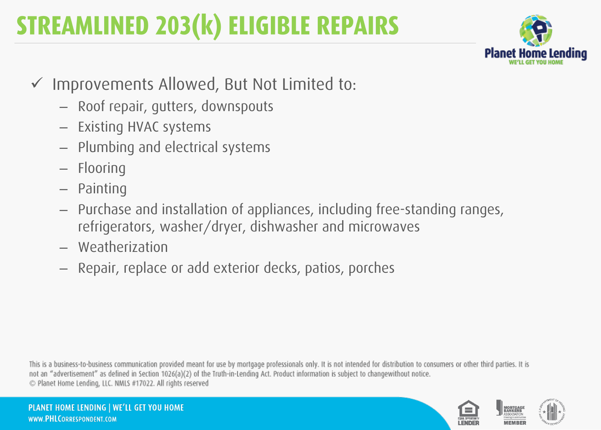## **STREAMLINED 203(k) ELIGIBLE REPAIRS**



- $\checkmark$  Improvements Allowed, But Not Limited to:
	- Roof repair, gutters, downspouts
	- Existing HVAC systems
	- Plumbing and electrical systems
	- Flooring
	- Painting
	- ← Purchase and installation of appliances, including free-standing ranges, refrigerators, washer/dryer, dishwasher and microwaves
	- Weatherization
	- Repair, replace or add exterior decks, patios, porches

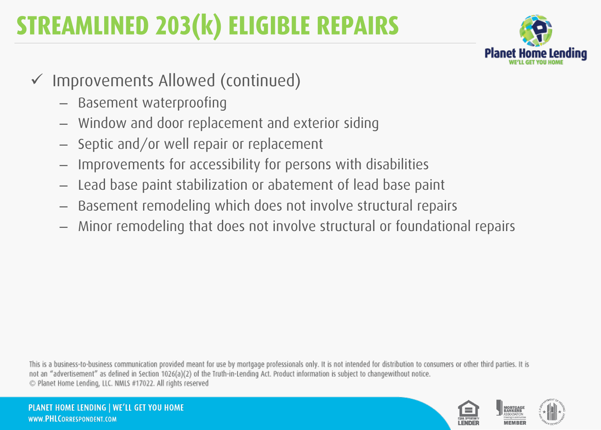## STREAMLINED 203(k) ELIGIBLE REPAIRS



- Improvements Allowed (continued)
	- Basement waterproofing
	- Window and door replacement and exterior siding
	- Septic and/or well repair or replacement
	- Improvements for accessibility for persons with disabilities
	- Lead base paint stabilization or abatement of lead base paint
	- Basement remodeling which does not involve structural repairs
	- Minor remodeling that does not involve structural or foundational repairs

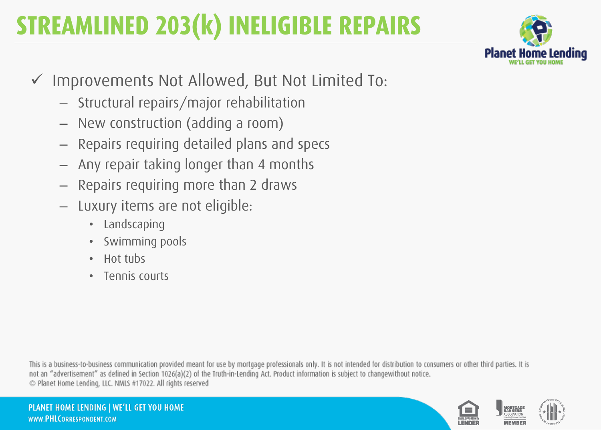# **STREAMLINED 203(k) INELIGIBLE REPAIRS**



- Improvements Not Allowed, But Not Limited To:
	- Structural repairs/major rehabilitation
	- New construction (adding a room)
	- Repairs requiring detailed plans and specs
	- Any repair taking longer than 4 months
	- Repairs requiring more than 2 draws
	- Luxury items are not eligible:
		- Landscaping
		- Swimming pools
		- Hot tubs
		- Tennis courts

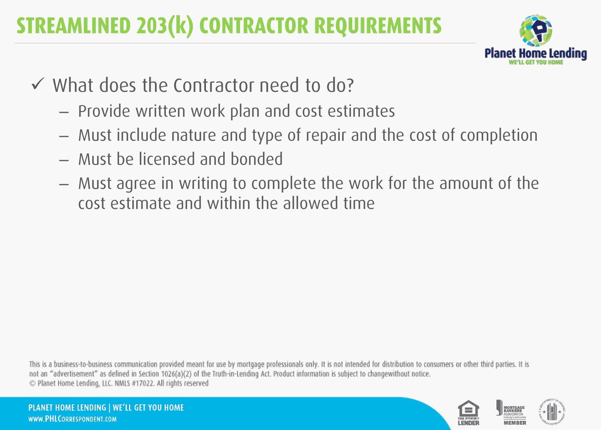#### **STREAMLINED 203(k) CONTRACTOR REQUIREMENTS**



- $\checkmark$  What does the Contractor need to do?
	- Provide written work plan and cost estimates
	- Must include nature and type of repair and the cost of completion
	- Must be licensed and bonded
	- Must agree in writing to complete the work for the amount of the cost estimate and within the allowed time

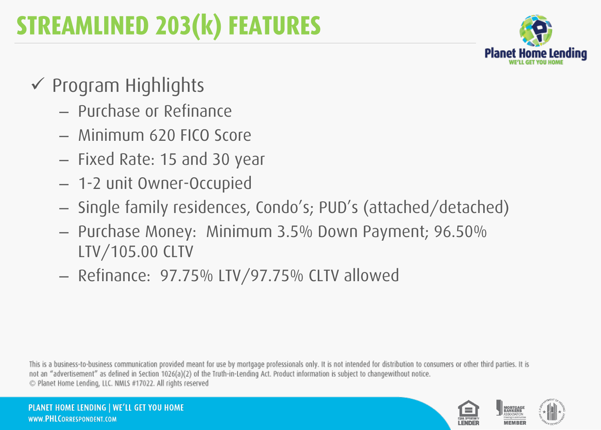

- $\checkmark$  Program Highlights
	- Purchase or Refinance
	- Minimum 620 FICO Score
	- Fixed Rate: 15 and 30 year
	- 1-2 unit Owner-Occupied
	- ← Single family residences, Condo's; PUD's (attached/detached)
	- Purchase Money: Minimum 3.5% Down Payment; 96.50% LTV/105.00 CLTV
	- Refinance: 97.75% LTV/97.75% CLTV allowed

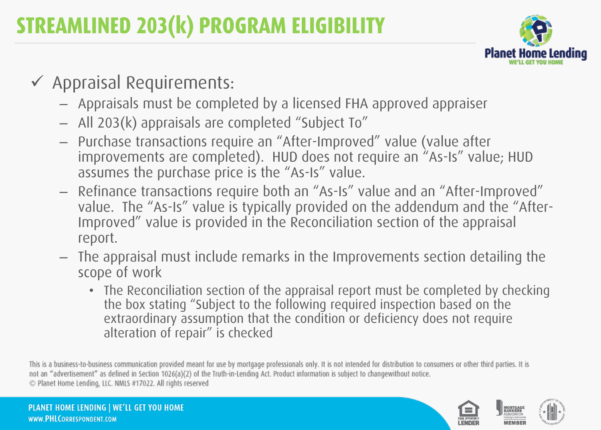

- $\checkmark$  Appraisal Requirements:
	- Appraisals must be completed by a licensed FHA approved appraiser
	- All 203(k) appraisals are completed "Subject To"
	- Purchase transactions require an "After-Improved" value (value after improvements are completed). HUD does not require an "As-Is" value; HUD assumes the purchase price is the "As-Is" value.
	- Refinance transactions require both an "As-Is" value and an "After-Improved" value. The "As-Is" value is typically provided on the addendum and the "After-Improved" value is provided in the Reconciliation section of the appraisal report.
	- The appraisal must include remarks in the Improvements section detailing the scope of work
		- The Reconciliation section of the appraisal report must be completed by checking the box stating "Subject to the following required inspection based on the extraordinary assumption that the condition or deficiency does not require alteration of repair" is checked

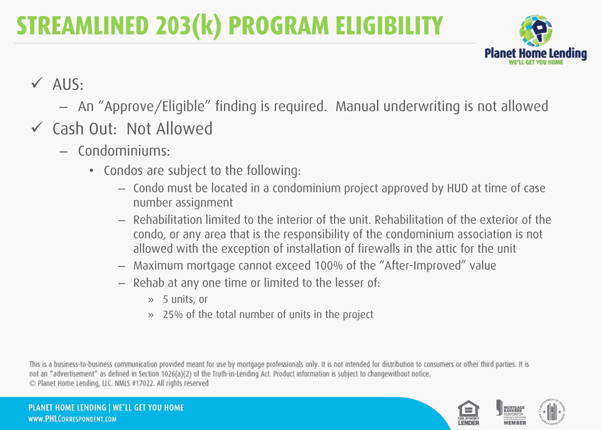

- $\checkmark$  AUS:
	- An "Approve/Eligible" finding is required. Manual underwriting is not allowed
- Cash Out: Not Allowed
	- Condominiums:
		- Condos are subject to the following:
			- Condo must be located in a condominium project approved by HUD at time of case number assignment
			- ← Rehabilitation limited to the interior of the unit. Rehabilitation of the exterior of the condo, or any area that is the responsibility of the condominium association is not allowed with the exception of installation of firewalls in the attic for the unit
			- Maximum mortgage cannot exceed 100% of the "After-Improved" value
			- Rehab at any one time or limited to the lesser of:
				- » 5 units, or
				- » 25% of the total number of units in the project

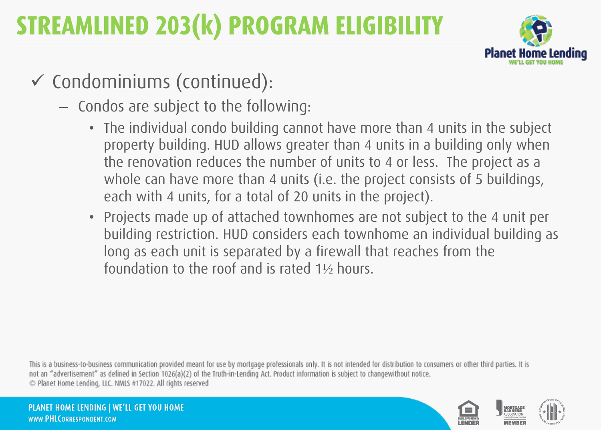

- Condominiums (continued):
	- Condos are subject to the following:
		- The individual condo building cannot have more than 4 units in the subject property building. HUD allows greater than 4 units in a building only when the renovation reduces the number of units to 4 or less. The project as a whole can have more than 4 units (i.e. the project consists of 5 buildings, each with 4 units, for a total of 20 units in the project).
		- ← Projects made up of attached townhomes are not subject to the 4 unit per building restriction. HUD considers each townhome an individual building as long as each unit is separated by a firewall that reaches from the foundation to the roof and is rated 1½ hours.

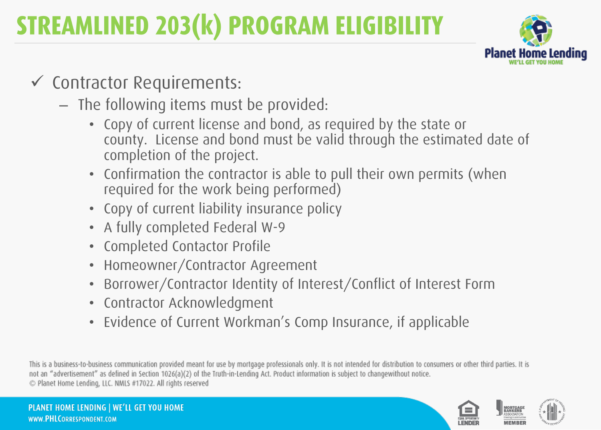

- Contractor Requirements:
	- The following items must be provided:
		- Copy of current license and bond, as required by the state or county. License and bond must be valid through the estimated date of completion of the project.
		- Confirmation the contractor is able to pull their own permits (when required for the work being performed)
		- Copy of current liability insurance policy
		- A fully completed Federal W-9
		- Completed Contactor Profile
		- Homeowner/Contractor Agreement
		- Borrower/Contractor Identity of Interest/Conflict of Interest Form
		- Contractor Acknowledgment
		- Evidence of Current Workman's Comp Insurance, if applicable

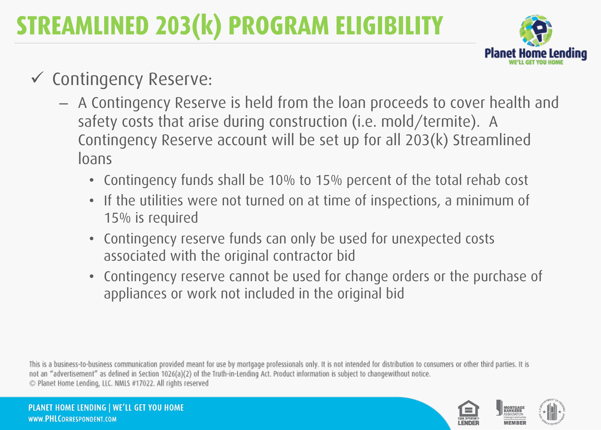

- Contingency Reserve:
	- A Contingency Reserve is held from the loan proceeds to cover health and safety costs that arise during construction (i.e. mold/termite). A Contingency Reserve account will be set up for all 203(k) Streamlined loans
		- Contingency funds shall be 10% to 15% percent of the total rehab cost
		- If the utilities were not turned on at time of inspections, a minimum of 15% is required
		- Contingency reserve funds can only be used for unexpected costs associated with the original contractor bid
		- Contingency reserve cannot be used for change orders or the purchase of appliances or work not included in the original bid

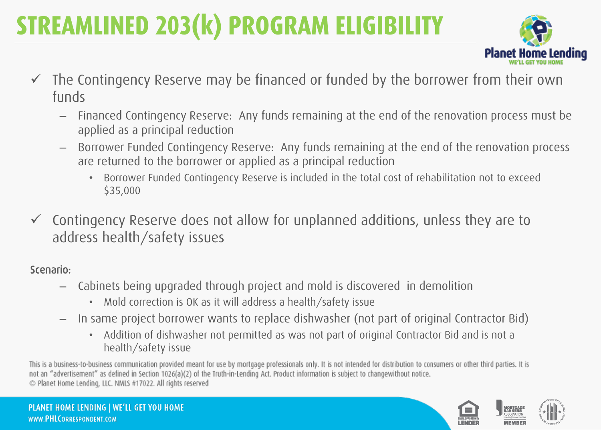

- The Contingency Reserve may be financed or funded by the borrower from their own funds
	- Financed Contingency Reserve: Any funds remaining at the end of the renovation process must be applied as a principal reduction
	- Borrower Funded Contingency Reserve: Any funds remaining at the end of the renovation process are returned to the borrower or applied as a principal reduction
		- Borrower Funded Contingency Reserve is included in the total cost of rehabilitation not to exceed \$35,000
- ← Contingency Reserve does not allow for unplanned additions, unless they are to address health/safety issues

#### Scenario:

- Cabinets being upgraded through project and mold is discovered in demolition
	- Mold correction is OK as it will address a health/safety issue
- In same project borrower wants to replace dishwasher (not part of original Contractor Bid)
	- Addition of dishwasher not permitted as was not part of original Contractor Bid and is not a health/safety issue

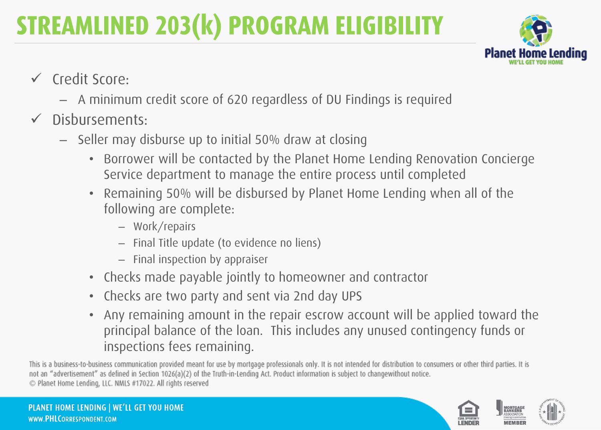

- Credit Score:
	- A minimum credit score of 620 regardless of DU Findings is required
- $\checkmark$  Disbursements:
	- Seller may disburse up to initial 50% draw at closing
		- Borrower will be contacted by the Planet Home Lending Renovation Concierge Service department to manage the entire process until completed
		- Remaining 50% will be disbursed by Planet Home Lending when all of the following are complete:
			- Work/repairs
			- Final Title update (to evidence no liens)
			- Final inspection by appraiser
		- Checks made payable jointly to homeowner and contractor
		- Checks are two party and sent via 2nd day UPS
		- Any remaining amount in the repair escrow account will be applied toward the principal balance of the loan. This includes any unused contingency funds or inspections fees remaining.

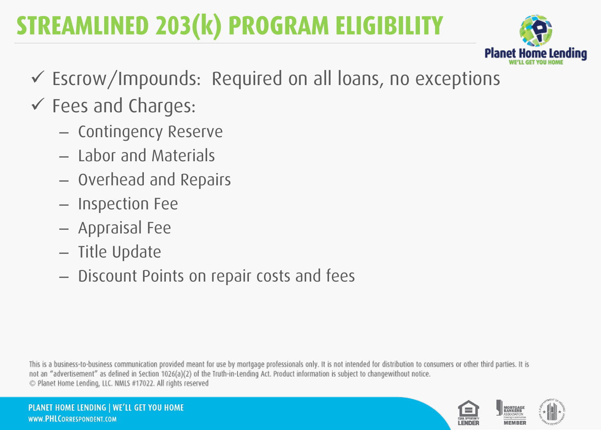

- Escrow/Impounds: Required on all loans, no exceptions
- Fees and Charges:
	- Contingency Reserve
	- Labor and Materials
	- Overhead and Repairs
	- Inspection Fee
	- Appraisal Fee
	- Title Update
	- Discount Points on repair costs and fees

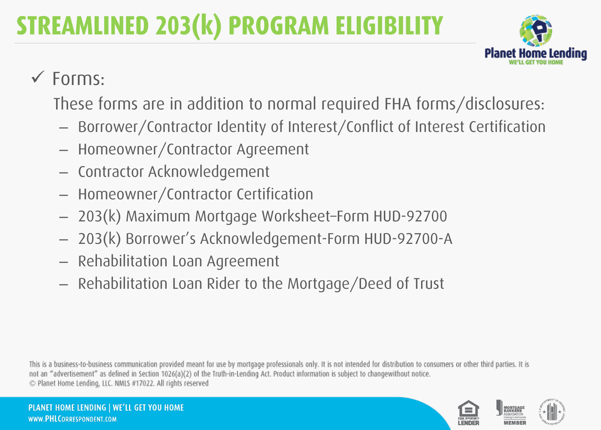

#### $\checkmark$  Forms:

These forms are in addition to normal required FHA forms/disclosures:

- Borrower/Contractor Identity of Interest/Conflict of Interest Certification
- Homeowner/Contractor Agreement
- Contractor Acknowledgement
- Homeowner/Contractor Certification
- 203(k) Maximum Mortgage Worksheet–Form HUD-92700
- 203(k) Borrower's Acknowledgement-Form HUD-92700-A
- Rehabilitation Loan Agreement
- Rehabilitation Loan Rider to the Mortgage/Deed of Trust

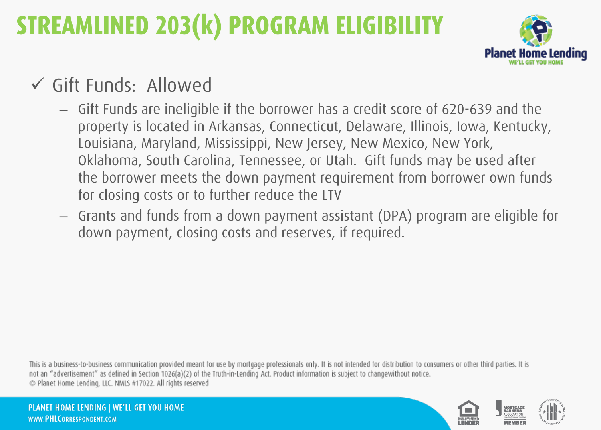

#### Gift Funds: Allowed

- Gift Funds are ineligible if the borrower has a credit score of 620-639 and the property is located in Arkansas, Connecticut, Delaware, Illinois, Iowa, Kentucky, Louisiana, Maryland, Mississippi, New Jersey, New Mexico, New York, Oklahoma, South Carolina, Tennessee, or Utah. Gift funds may be used after the borrower meets the down payment requirement from borrower own funds for closing costs or to further reduce the LTV
- Grants and funds from a down payment assistant (DPA) program are eligible for down payment, closing costs and reserves, if required.

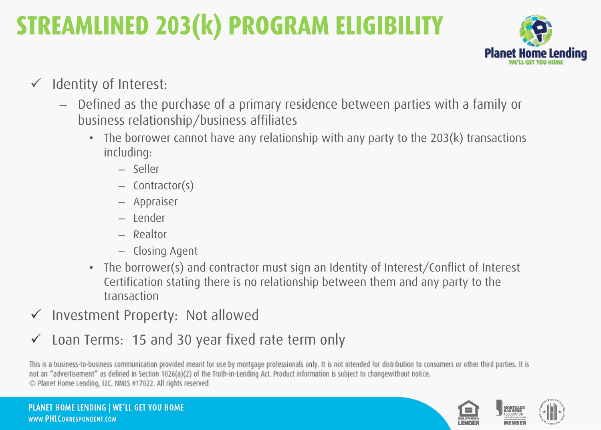

- $\checkmark$  Identity of Interest:
	- Defined as the purchase of a primary residence between parties with a family or business relationship/business affiliates
		- The borrower cannot have any relationship with any party to the 203(k) transactions including:
			- Seller
			- Contractor(s)
			- Appraiser
			- Lender
			- Realtor
			- Closing Agent
		- The borrower(s) and contractor must sign an Identity of Interest/Conflict of Interest Certification stating there is no relationship between them and any party to the transaction
- $\checkmark$  Investment Property: Not allowed
- Loan Terms: 15 and 30 year fixed rate term only

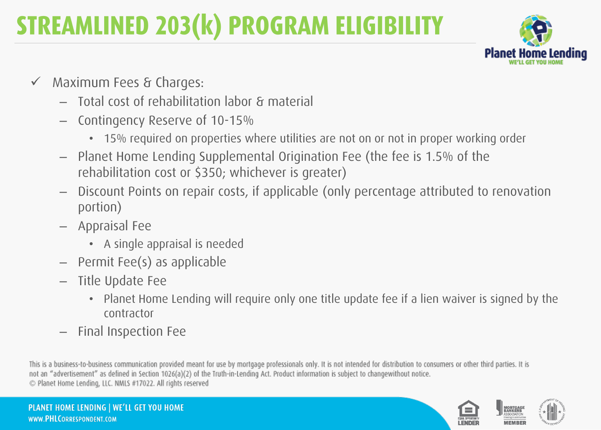

- $\checkmark$  Maximum Fees & Charges:
	- Total cost of rehabilitation labor & material
	- Contingency Reserve of 10-15%
		- 15% required on properties where utilities are not on or not in proper working order
	- Planet Home Lending Supplemental Origination Fee (the fee is 1.5% of the rehabilitation cost or \$350; whichever is greater)
	- Discount Points on repair costs, if applicable (only percentage attributed to renovation portion)
	- Appraisal Fee
		- A single appraisal is needed
	- Permit Fee(s) as applicable
	- Title Update Fee
		- Planet Home Lending will require only one title update fee if a lien waiver is signed by the contractor
	- Final Inspection Fee

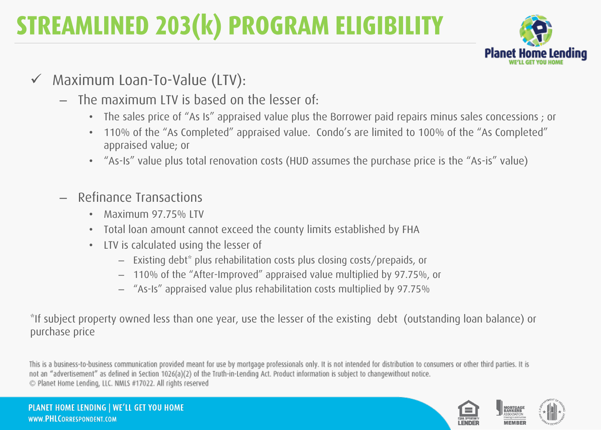

- Maximum Loan-To-Value (LTV):
	- The maximum LTV is based on the lesser of:
		- The sales price of "As Is" appraised value plus the Borrower paid repairs minus sales concessions ; or
		- 110% of the "As Completed" appraised value. Condo's are limited to 100% of the "As Completed" appraised value; or
		- "As-Is" value plus total renovation costs (HUD assumes the purchase price is the "As-is" value)
	- Refinance Transactions
		- Maximum 97.75% LTV
		- Total loan amount cannot exceed the county limits established by FHA
		- LTV is calculated using the lesser of
			- Existing debt\* plus rehabilitation costs plus closing costs/prepaids, or
			- 110% of the "After-Improved" appraised value multiplied by 97.75%, or
			- "As-Is" appraised value plus rehabilitation costs multiplied by 97.75%

\*If subject property owned less than one year, use the lesser of the existing debt (outstanding loan balance) or purchase price

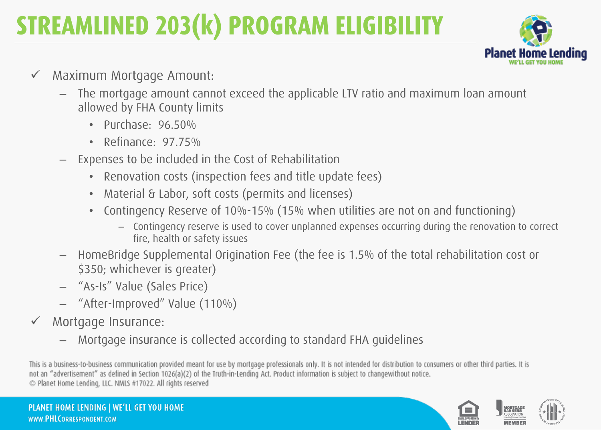

- Maximum Mortgage Amount:
	- The mortgage amount cannot exceed the applicable LTV ratio and maximum loan amount allowed by FHA County limits
		- Purchase: 96.50%
		- Refinance: 97.75%
	- Expenses to be included in the Cost of Rehabilitation
		- Renovation costs (inspection fees and title update fees)
		- Material & Labor, soft costs (permits and licenses)
		- Contingency Reserve of 10%-15% (15% when utilities are not on and functioning)
			- Contingency reserve is used to cover unplanned expenses occurring during the renovation to correct fire, health or safety issues
	- HomeBridge Supplemental Origination Fee (the fee is 1.5% of the total rehabilitation cost or \$350; whichever is greater)
	- "As-Is" Value (Sales Price)
	- "After-Improved" Value (110%)
- Mortgage Insurance:
	- Mortgage insurance is collected according to standard FHA guidelines

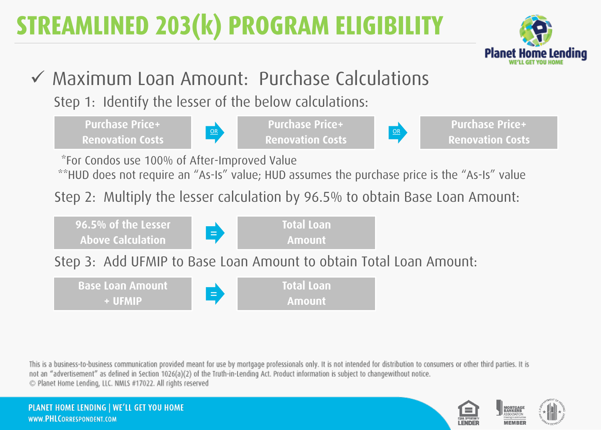

#### Maximum Loan Amount: Purchase Calculations

Step 1: Identify the lesser of the below calculations:

**Purchase Price+ Renovation Costs** 



**Purchase Price+** OR SAN DISCOVERING THE CONTRACT OF THE CONTRACT OF THE CONTRACT OF THE CONTRACT OF THE CONTRACT OF THE CONTRACT OF THE CONTRACT OF THE CONTRACT OF THE CONTRACT OF THE CONTRACT OF THE CONTRACT OF THE CONTRACT OF THE CONTRAC



**Purchase Price+ Renovation Costs** 

\*For Condos use 100% of After-Improved Value

\*\*HUD does not require an "As-Is" value; HUD assumes the purchase price is the "As-Is" value

Step 2: Multiply the lesser calculation by 96.5% to obtain Base Loan Amount:



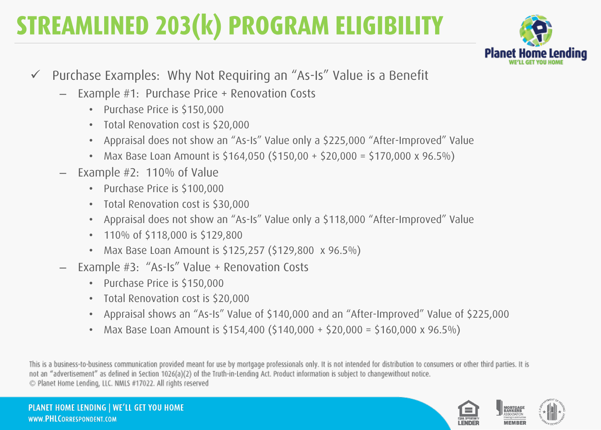

- $\checkmark$  Purchase Examples: Why Not Requiring an "As-Is" Value is a Benefit
	- Example #1: Purchase Price + Renovation Costs
		- Purchase Price is \$150,000
		- Total Renovation cost is \$20,000
		- Appraisal does not show an "As-Is" Value only a \$225,000 "After-Improved" Value
		- Max Base Loan Amount is  $$164,050$  ( $$150,00 + $20,000 = $170,000 \times 96.5\%$ )
	- Example #2: 110% of Value
		- Purchase Price is \$100,000
		- Total Renovation cost is \$30,000
		- Appraisal does not show an "As-Is" Value only a \$118,000 "After-Improved" Value
		- 110% of \$118,000 is \$129,800
		- Max Base Loan Amount is \$125,257 (\$129,800 x 96.5%)
	- Example #3: "As-Is" Value + Renovation Costs
		- Purchase Price is \$150,000
		- Total Renovation cost is \$20,000
		- Appraisal shows an "As-Is" Value of \$140,000 and an "After-Improved" Value of \$225,000
		- Max Base Loan Amount is  $$154,400$   $$140,000 + $20,000 = $160,000 \times 96.5\%$

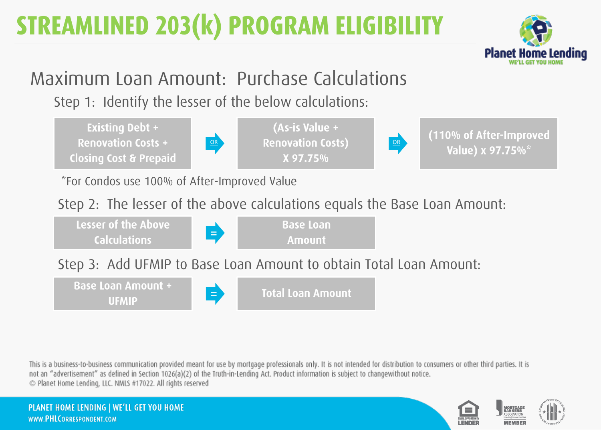

#### Maximum Loan Amount: Purchase Calculations

Step 1: Identify the lesser of the below calculations:

**Existing Debt + Renovation Costs + Closing Cost & Prepaid** 



(As-is Value + **OR Renovation Costs)** OR X 97.75%



(110% of After-Improved Value) x 97.75%\*

\*For Condos use 100% of After-Improved Value

Step 2: The lesser of the above calculations equals the Base Loan Amount:

Lesser of the Above **Base Loan** = **Calculations Amount** 

Step 3: Add UFMIP to Base Loan Amount to obtain Total Loan Amount:

**Base Loan Amount + Total Loan Amount**  $\equiv$ **UFMIP** 

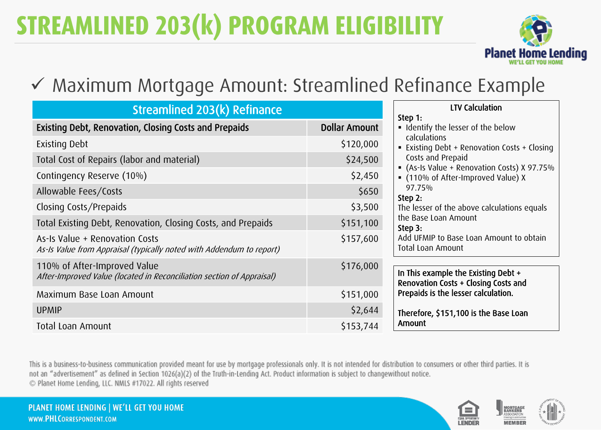

#### Maximum Mortgage Amount: Streamlined Refinance Example

| <b>Streamlined 203(k) Refinance</b>                                                                    |                      |  |
|--------------------------------------------------------------------------------------------------------|----------------------|--|
| Existing Debt, Renovation, Closing Costs and Prepaids                                                  | <b>Dollar Amount</b> |  |
| <b>Existing Debt</b>                                                                                   | \$120,000            |  |
| Total Cost of Repairs (labor and material)                                                             | \$24,500             |  |
| Contingency Reserve (10%)                                                                              | \$2,450              |  |
| Allowable Fees/Costs                                                                                   | \$650                |  |
| Closing Costs/Prepaids                                                                                 | \$3,500              |  |
| Total Existing Debt, Renovation, Closing Costs, and Prepaids                                           | \$151,100            |  |
| As-Is Value + Renovation Costs<br>As-Is Value from Appraisal (typically noted with Addendum to report) | \$157,600            |  |
| 110% of After-Improved Value<br>After-Improved Value (located in Reconciliation section of Appraisal)  | \$176,000            |  |
| Maximum Base Loan Amount                                                                               | \$151,000            |  |
| <b>UPMIP</b>                                                                                           | \$2,644              |  |
| Total Loan Amount                                                                                      | \$153,744            |  |

| . |                                              |  |
|---|----------------------------------------------|--|
|   | <b>LTV Calculation</b>                       |  |
|   | Step 1:                                      |  |
|   | Identify the lesser of the below             |  |
|   | calculations                                 |  |
|   | ■ Existing Debt + Renovation Costs + Closing |  |
|   | Costs and Prepaid                            |  |
|   | • (As-Is Value + Renovation Costs) X 97.75%  |  |
|   | • (110% of After-Improved Value) X           |  |
|   | 97.75%                                       |  |
|   | Step 2:                                      |  |
|   | The lesser of the above calculations equals  |  |
|   | the Base Loan Amount                         |  |
|   | Step 3:                                      |  |
|   | Add UFMIP to Base Loan Amount to obtain      |  |
|   | Total Loan Amount                            |  |
|   |                                              |  |
|   | In This example the Existing Debt +          |  |
|   | Renovation Costs + Closing Costs and         |  |
|   | Prepaids is the lesser calculation.          |  |
|   |                                              |  |
|   | Therefore, \$151,100 is the Base Loan        |  |
|   | Amount                                       |  |

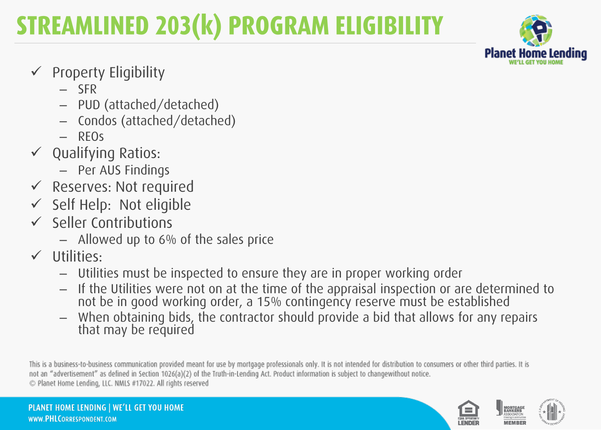

- Property Eligibility
	- SFR
	- PUD (attached/detached)
	- Condos (attached/detached)
	- $-$  RFOs
- $\checkmark$  Qualifying Ratios:
	- Per AUS Findings
- Reserves: Not required
- $\checkmark$  Self Help: Not eligible
- $\checkmark$  Seller Contributions
	- $-$  Allowed up to 6% of the sales price
- $\checkmark$  Utilities:
	- Utilities must be inspected to ensure they are in proper working order
	- If the Utilities were not on at the time of the appraisal inspection or are determined to not be in good working order, a 15% contingency reserve must be established
	- When obtaining bids, the contractor should provide a bid that allows for any repairs that may be required

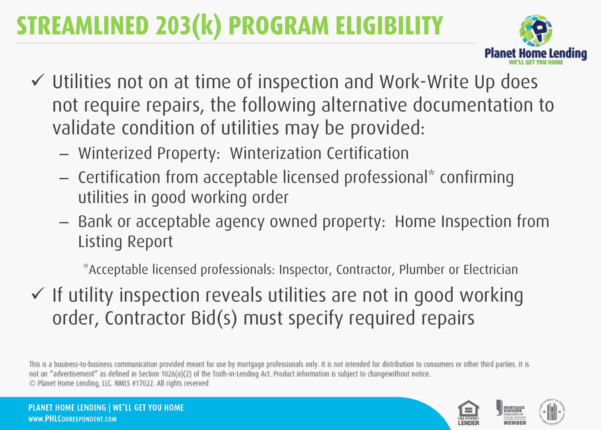

- Utilities not on at time of inspection and Work-Write Up does not require repairs, the following alternative documentation to validate condition of utilities may be provided:
	- Winterized Property: Winterization Certification
	- Certification from acceptable licensed professional\* confirming utilities in good working order
	- ← Bank or acceptable agency owned property: Home Inspection from Listing Report

\*Acceptable licensed professionals: Inspector, Contractor, Plumber or Electrician

 $\checkmark$  If utility inspection reveals utilities are not in good working order, Contractor Bid(s) must specify required repairs

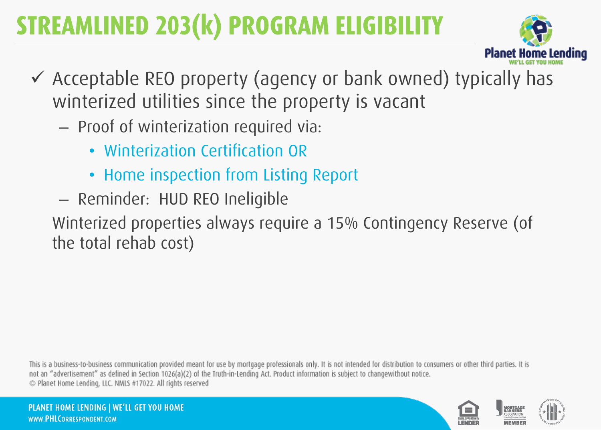

- Acceptable REO property (agency or bank owned) typically has winterized utilities since the property is vacant
	- Proof of winterization required via:
		- Winterization Certification OR
		- Home inspection from Listing Report
	- Reminder: HUD REO Ineligible

Winterized properties always require a 15% Contingency Reserve (of the total rehab cost)

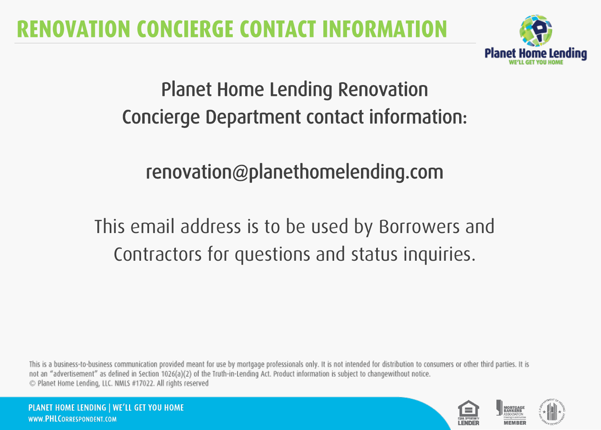#### **RENOVATION CONCIERGE CONTACT INFORMA**



#### Planet Home Lending Renovation Concierge Department contact information:

#### renovation@planethomelending.com

#### This email address is to be used by Borrowers and Contractors for questions and status inquiries.